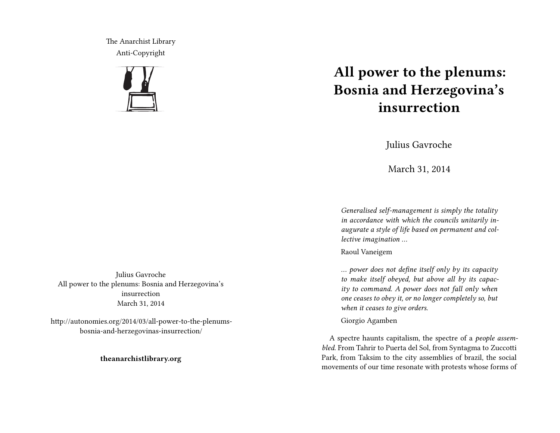The Anarchist Library Anti-Copyright



## **All power to the plenums: Bosnia and Herzegovina's insurrection**

Julius Gavroche

March 31, 2014

*Generalised self-management is simply the totality in accordance with which the councils unitarily inaugurate a style of life based on permanent and collective imagination …*

Raoul Vaneigem

*… power does not define itself only by its capacity to make itself obeyed, but above all by its capacity to command. A power does not fall only when one ceases to obey it, or no longer completely so, but when it ceases to give orders.*

Giorgio Agamben

A spectre haunts capitalism, the spectre of a *people assembled*. From Tahrir to Puerta del Sol, from Syntagma to Zuccotti Park, from Taksim to the city assemblies of brazil, the social movements of our time resonate with protests whose forms of

Julius Gavroche All power to the plenums: Bosnia and Herzegovina's insurrection March 31, 2014

http://autonomies.org/2014/03/all-power-to-the-plenumsbosnia-and-herzegovinas-insurrection/

**theanarchistlibrary.org**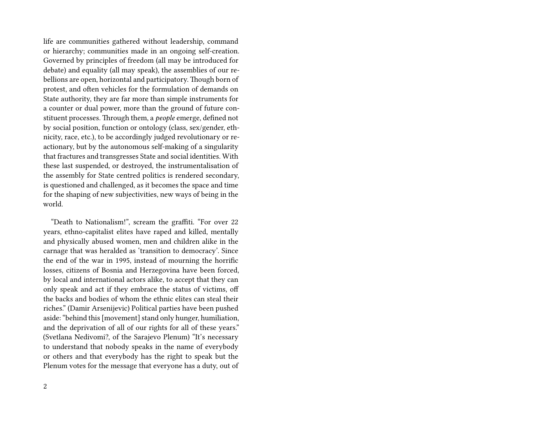life are communities gathered without leadership, command or hierarchy; communities made in an ongoing self-creation. Governed by principles of freedom (all may be introduced for debate) and equality (all may speak), the assemblies of our rebellions are open, horizontal and participatory. Though born of protest, and often vehicles for the formulation of demands on State authority, they are far more than simple instruments for a counter or dual power, more than the ground of future constituent processes. Through them, a *people* emerge, defined not by social position, function or ontology (class, sex/gender, ethnicity, race, etc.), to be accordingly judged revolutionary or reactionary, but by the autonomous self-making of a singularity that fractures and transgresses State and social identities. With these last suspended, or destroyed, the instrumentalisation of the assembly for State centred politics is rendered secondary, is questioned and challenged, as it becomes the space and time for the shaping of new subjectivities, new ways of being in the world.

"Death to Nationalism!", scream the graffiti. "For over 22 years, ethno-capitalist elites have raped and killed, mentally and physically abused women, men and children alike in the carnage that was heralded as 'transition to democracy'. Since the end of the war in 1995, instead of mourning the horrific losses, citizens of Bosnia and Herzegovina have been forced, by local and international actors alike, to accept that they can only speak and act if they embrace the status of victims, off the backs and bodies of whom the ethnic elites can steal their riches." (Damir Arsenijevic) Political parties have been pushed aside: "behind this [movement] stand only hunger, humiliation, and the deprivation of all of our rights for all of these years." (Svetlana Nedivomi?, of the Sarajevo Plenum) "It's necessary to understand that nobody speaks in the name of everybody or others and that everybody has the right to speak but the Plenum votes for the message that everyone has a duty, out of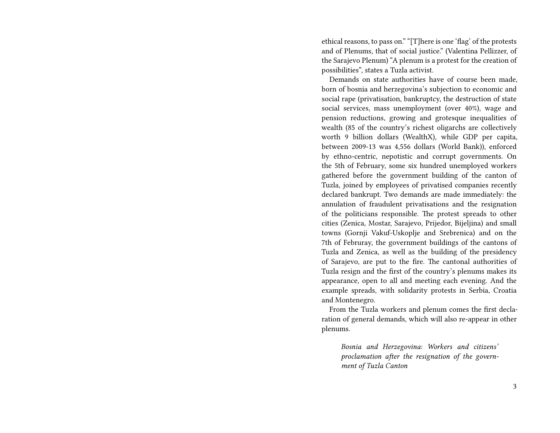ethical reasons, to pass on." "[T]here is one 'flag' of the protests and of Plenums, that of social justice." (Valentina Pellizzer, of the Sarajevo Plenum) "A plenum is a protest for the creation of possibilities", states a Tuzla activist.

Demands on state authorities have of course been made, born of bosnia and herzegovina's subjection to economic and social rape (privatisation, bankruptcy, the destruction of state social services, mass unemployment (over 40%), wage and pension reductions, growing and grotesque inequalities of wealth (85 of the country's richest oligarchs are collectively worth 9 billion dollars (WealthX), while GDP per capita, between 2009-13 was 4,556 dollars (World Bank)), enforced by ethno-centric, nepotistic and corrupt governments. On the 5th of February, some six hundred unemployed workers gathered before the government building of the canton of Tuzla, joined by employees of privatised companies recently declared bankrupt. Two demands are made immediately: the annulation of fraudulent privatisations and the resignation of the politicians responsible. The protest spreads to other cities (Zenica, Mostar, Sarajevo, Prijedor, Bijeljina) and small towns (Gornji Vakuf-Uskoplje and Srebrenica) and on the 7th of Februray, the government buildings of the cantons of Tuzla and Zenica, as well as the building of the presidency of Sarajevo, are put to the fire. The cantonal authorities of Tuzla resign and the first of the country's plenums makes its appearance, open to all and meeting each evening. And the example spreads, with solidarity protests in Serbia, Croatia and Montenegro.

From the Tuzla workers and plenum comes the first declaration of general demands, which will also re-appear in other plenums.

*Bosnia and Herzegovina: Workers and citizens' proclamation after the resignation of the government of Tuzla Canton*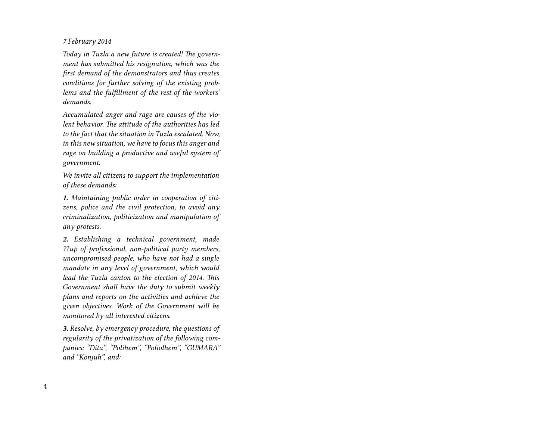*7 February 2014*

*Today in Tuzla a new future is created! The government has submitted his resignation, which was the first demand of the demonstrators and thus creates conditions for further solving of the existing problems and the fulfillment of the rest of the workers' demands.*

*Accumulated anger and rage are causes of the violent behavior. The attitude of the authorities has led to the fact that the situation in Tuzla escalated. Now, in this new situation, we have to focus this anger and rage on building a productive and useful system of government.*

*We invite all citizens to support the implementation of these demands:*

*1. Maintaining public order in cooperation of citizens, police and the civil protection, to avoid any criminalization, politicization and manipulation of any protests.*

*2. Establishing a technical government, made ⁇up of professional, non-political party members, uncompromised people, who have not had a single mandate in any level of government, which would lead the Tuzla canton to the election of 2014. This Government shall have the duty to submit weekly plans and reports on the activities and achieve the given objectives. Work of the Government will be monitored by all interested citizens.*

*3. Resolve, by emergency procedure, the questions of regularity of the privatization of the following companies: "Dita", "Polihem", "Poliolhem", "GUMARA" and "Konjuh", and:*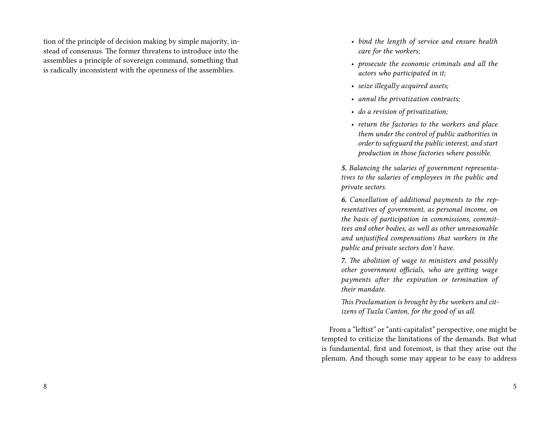tion of the principle of decision making by simple majority, instead of consensus. The former threatens to introduce into the assemblies a principle of sovereign command, something that is radically inconsistent with the openness of the assemblies.

- *bind the length of service and ensure health care for the workers;*
- *prosecute the economic criminals and all the actors who participated in it;*
- *seize illegally acquired assets;*
- *annul the privatization contracts;*
- *do a revision of privatization;*
- *return the factories to the workers and place them under the control of public authorities in order to safeguard the public interest, and start production in those factories where possible.*

*5. Balancing the salaries of government representatives to the salaries of employees in the public and private sectors.*

*6. Cancellation of additional payments to the representatives of government, as personal income, on the basis of participation in commissions, committees and other bodies, as well as other unreasonable and unjustified compensations that workers in the public and private sectors don't have.*

*7. The abolition of wage to ministers and possibly other government officials, who are getting wage payments after the expiration or termination of their mandate.*

*This Proclamation is brought by the workers and citizens of Tuzla Canton, for the good of us all.*

From a "leftist" or "anti-capitalist" perspective, one might be tempted to criticize the limitations of the demands. But what is fundamental, first and foremost, is that they arise out the plenum. And though some may appear to be easy to address